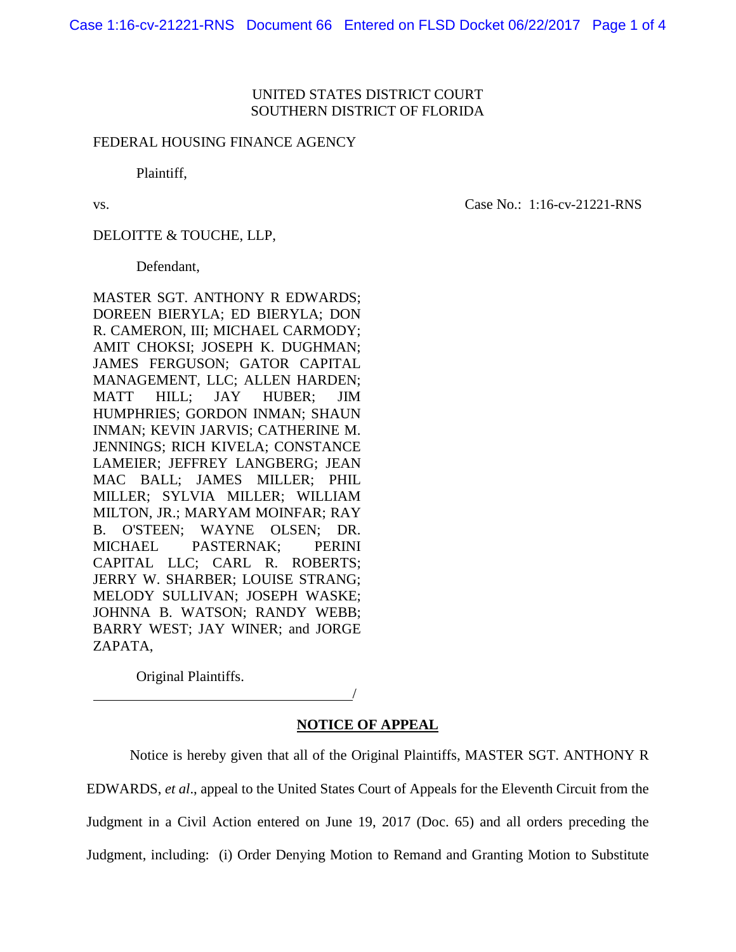#### UNITED STATES DISTRICT COURT SOUTHERN DISTRICT OF FLORIDA

#### FEDERAL HOUSING FINANCE AGENCY

Plaintiff,

vs. Case No.: 1:16-cv-21221-RNS

DELOITTE & TOUCHE, LLP,

Defendant,

MASTER SGT. ANTHONY R EDWARDS; DOREEN BIERYLA; ED BIERYLA; DON R. CAMERON, III; MICHAEL CARMODY; AMIT CHOKSI; JOSEPH K. DUGHMAN; JAMES FERGUSON; GATOR CAPITAL MANAGEMENT, LLC; ALLEN HARDEN; MATT HILL; JAY HUBER; JIM HUMPHRIES; GORDON INMAN; SHAUN INMAN; KEVIN JARVIS; CATHERINE M. JENNINGS; RICH KIVELA; CONSTANCE LAMEIER; JEFFREY LANGBERG; JEAN MAC BALL; JAMES MILLER; PHIL MILLER; SYLVIA MILLER; WILLIAM MILTON, JR.; MARYAM MOINFAR; RAY B. O'STEEN; WAYNE OLSEN; DR. MICHAEL PASTERNAK; PERINI CAPITAL LLC; CARL R. ROBERTS; JERRY W. SHARBER; LOUISE STRANG; MELODY SULLIVAN; JOSEPH WASKE; JOHNNA B. WATSON; RANDY WEBB; BARRY WEST; JAY WINER; and JORGE ZAPATA,

Original Plaintiffs.

/

## **NOTICE OF APPEAL**

Notice is hereby given that all of the Original Plaintiffs, MASTER SGT. ANTHONY R EDWARDS, *et al*., appeal to the United States Court of Appeals for the Eleventh Circuit from the Judgment in a Civil Action entered on June 19, 2017 (Doc. 65) and all orders preceding the Judgment, including: (i) Order Denying Motion to Remand and Granting Motion to Substitute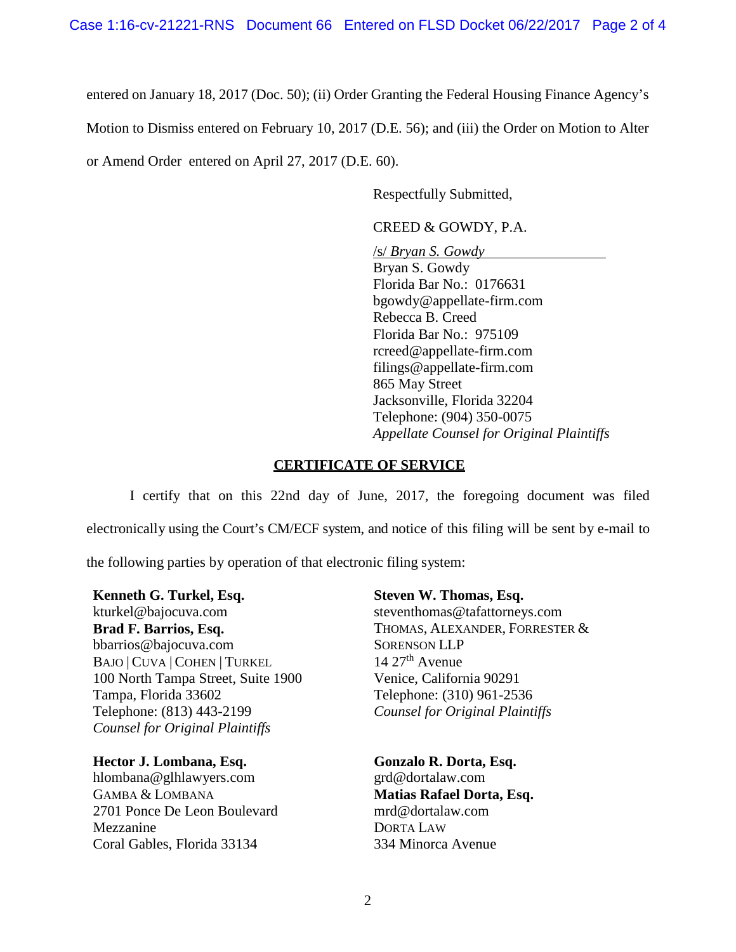entered on January 18, 2017 (Doc. 50); (ii) Order Granting the Federal Housing Finance Agency's

Motion to Dismiss entered on February 10, 2017 (D.E. 56); and (iii) the Order on Motion to Alter

or Amend Order entered on April 27, 2017 (D.E. 60).

Respectfully Submitted,

CREED & GOWDY, P.A.

/s/ *Bryan S. Gowdy* Bryan S. Gowdy Florida Bar No.: 0176631 bgowdy@appellate-firm.com Rebecca B. Creed Florida Bar No.: 975109 rcreed@appellate-firm.com filings@appellate-firm.com 865 May Street Jacksonville, Florida 32204 Telephone: (904) 350-0075 *Appellate Counsel for Original Plaintiffs*

### **CERTIFICATE OF SERVICE**

I certify that on this 22nd day of June, 2017, the foregoing document was filed electronically using the Court's CM/ECF system, and notice of this filing will be sent by e-mail to

the following parties by operation of that electronic filing system:

**Kenneth G. Turkel, Esq.**  kturkel@bajocuva.com **Brad F. Barrios, Esq.**  bbarrios@bajocuva.com BAJO | CUVA | COHEN | TURKEL 100 North Tampa Street, Suite 1900 Tampa, Florida 33602 Telephone: (813) 443-2199 *Counsel for Original Plaintiffs*

**Hector J. Lombana, Esq.**

hlombana@glhlawyers.com GAMBA & LOMBANA 2701 Ponce De Leon Boulevard Mezzanine Coral Gables, Florida 33134

**Steven W. Thomas, Esq.**

steventhomas@tafattorneys.com THOMAS, ALEXANDER, FORRESTER & SORENSON LLP  $14$   $27^{\text{th}}$  Avenue Venice, California 90291 Telephone: (310) 961-2536 *Counsel for Original Plaintiffs*

**Gonzalo R. Dorta, Esq.** grd@dortalaw.com **Matias Rafael Dorta, Esq.** mrd@dortalaw.com DORTA LAW 334 Minorca Avenue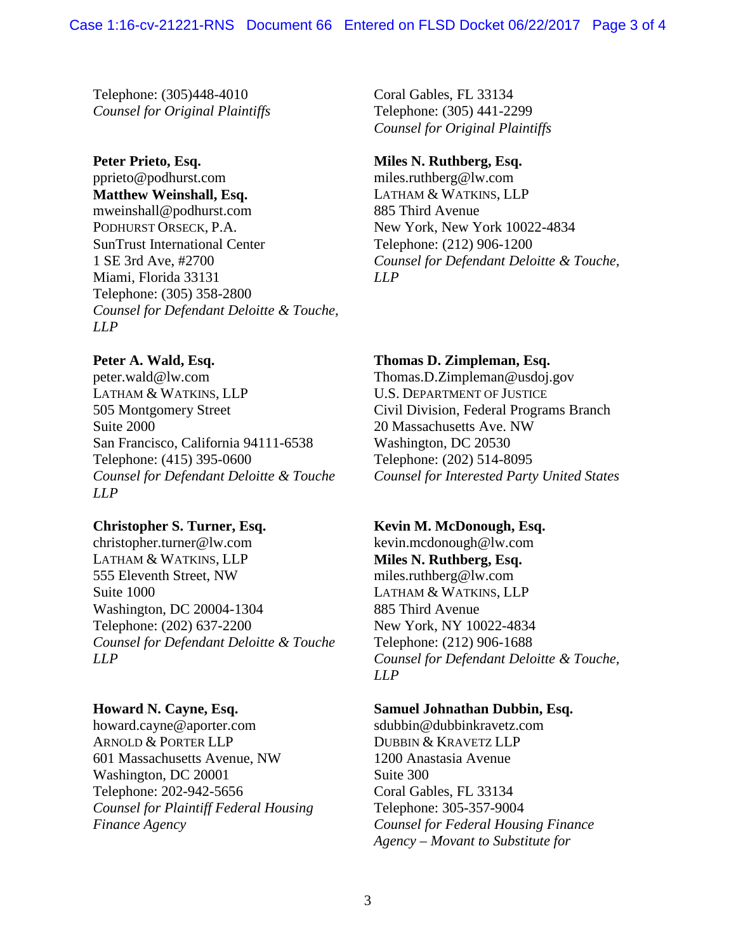Telephone: (305)448-4010 *Counsel for Original Plaintiffs*

# **Peter Prieto, Esq.**

pprieto@podhurst.com **Matthew Weinshall, Esq.** mweinshall@podhurst.com PODHURST ORSECK, P.A. SunTrust International Center 1 SE 3rd Ave, #2700 Miami, Florida 33131 Telephone: (305) 358-2800 *Counsel for Defendant Deloitte & Touche, LLP*

## **Peter A. Wald, Esq.**

peter.wald@lw.com LATHAM & WATKINS, LLP 505 Montgomery Street Suite 2000 San Francisco, California 94111-6538 Telephone: (415) 395-0600 *Counsel for Defendant Deloitte & Touche LLP*

## **Christopher S. Turner, Esq.**

christopher.turner@lw.com LATHAM & WATKINS, LLP 555 Eleventh Street, NW Suite 1000 Washington, DC 20004-1304 Telephone: (202) 637-2200 *Counsel for Defendant Deloitte & Touche LLP*

## **Howard N. Cayne, Esq.**

howard.cayne@aporter.com ARNOLD & PORTER LLP 601 Massachusetts Avenue, NW Washington, DC 20001 Telephone: 202-942-5656 *Counsel for Plaintiff Federal Housing Finance Agency*

Coral Gables, FL 33134 Telephone: (305) 441-2299 *Counsel for Original Plaintiffs*

# **Miles N. Ruthberg, Esq.**

miles.ruthberg@lw.com LATHAM & WATKINS, LLP 885 Third Avenue New York, New York 10022-4834 Telephone: (212) 906-1200 *Counsel for Defendant Deloitte & Touche, LLP*

## **Thomas D. Zimpleman, Esq.**

Thomas.D.Zimpleman@usdoj.gov U.S. DEPARTMENT OF JUSTICE Civil Division, Federal Programs Branch 20 Massachusetts Ave. NW Washington, DC 20530 Telephone: (202) 514-8095 *Counsel for Interested Party United States*

## **Kevin M. McDonough, Esq.**

kevin.mcdonough@lw.com **Miles N. Ruthberg, Esq.** miles.ruthberg@lw.com LATHAM & WATKINS, LLP 885 Third Avenue New York, NY 10022-4834 Telephone: (212) 906-1688 *Counsel for Defendant Deloitte & Touche, LLP*

## **Samuel Johnathan Dubbin, Esq.**

sdubbin@dubbinkravetz.com DUBBIN & KRAVETZ LLP 1200 Anastasia Avenue Suite 300 Coral Gables, FL 33134 Telephone: 305-357-9004 *Counsel for Federal Housing Finance Agency – Movant to Substitute for*